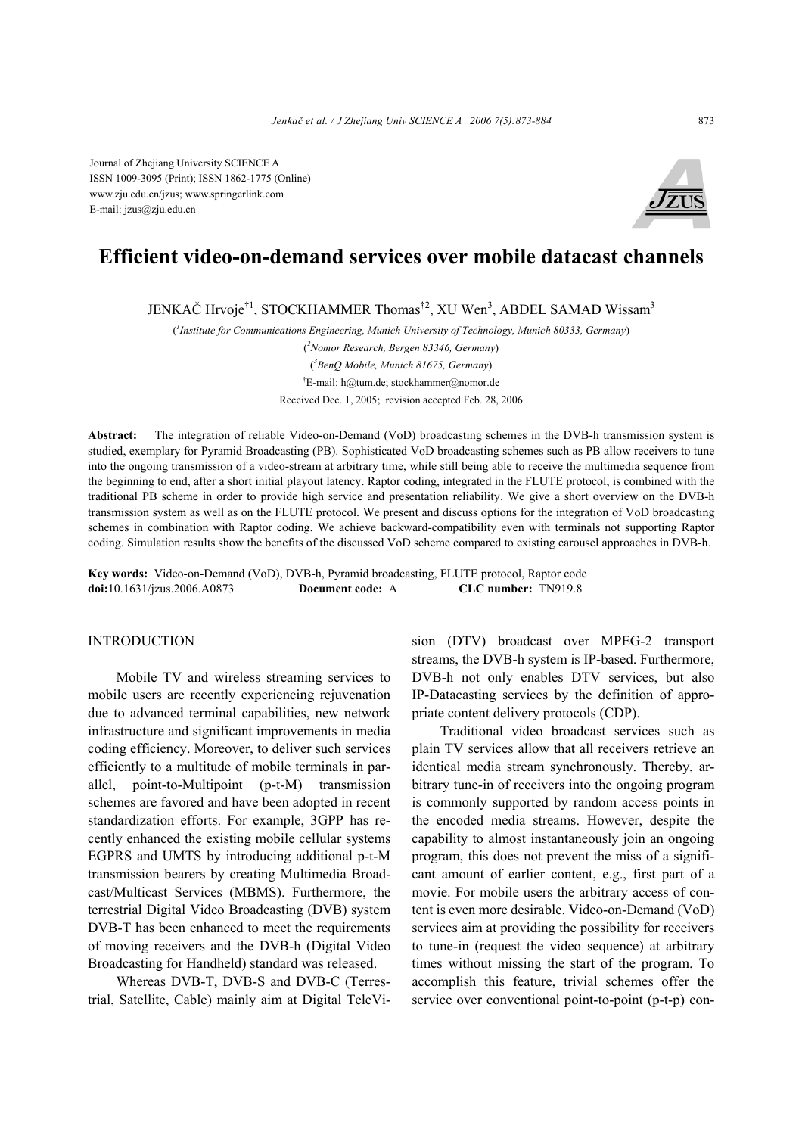Journal of Zhejiang University SCIENCE A ISSN 1009-3095 (Print); ISSN 1862-1775 (Online) www.zju.edu.cn/jzus; www.springerlink.com E-mail: jzus@zju.edu.cn



# **Efficient video-on-demand services over mobile datacast channels**

JENKAČ Hrvoje<sup>†1</sup>, STOCKHAMMER Thomas<sup>†2</sup>, XU Wen<sup>3</sup>, ABDEL SAMAD Wissam<sup>3</sup>

( *1 Institute for Communications Engineering, Munich University of Technology, Munich 80333, Germany*)

( *2 Nomor Research, Bergen 83346, Germany*) ( *3 BenQ Mobile, Munich 81675, Germany*) † E-mail: h@tum.de; stockhammer@nomor.de Received Dec. 1, 2005; revision accepted Feb. 28, 2006

**Abstract:** The integration of reliable Video-on-Demand (VoD) broadcasting schemes in the DVB-h transmission system is studied, exemplary for Pyramid Broadcasting (PB). Sophisticated VoD broadcasting schemes such as PB allow receivers to tune into the ongoing transmission of a video-stream at arbitrary time, while still being able to receive the multimedia sequence from the beginning to end, after a short initial playout latency. Raptor coding, integrated in the FLUTE protocol, is combined with the traditional PB scheme in order to provide high service and presentation reliability. We give a short overview on the DVB-h transmission system as well as on the FLUTE protocol. We present and discuss options for the integration of VoD broadcasting schemes in combination with Raptor coding. We achieve backward-compatibility even with terminals not supporting Raptor coding. Simulation results show the benefits of the discussed VoD scheme compared to existing carousel approaches in DVB-h.

**Key words:** Video-on-Demand (VoD), DVB-h, Pyramid broadcasting, FLUTE protocol, Raptor code **doi:**10.1631/jzus.2006.A0873 **Document code:** A **CLC number:** TN919.8

## **INTRODUCTION**

Mobile TV and wireless streaming services to mobile users are recently experiencing rejuvenation due to advanced terminal capabilities, new network infrastructure and significant improvements in media coding efficiency. Moreover, to deliver such services efficiently to a multitude of mobile terminals in parallel, point-to-Multipoint (p-t-M) transmission schemes are favored and have been adopted in recent standardization efforts. For example, 3GPP has recently enhanced the existing mobile cellular systems EGPRS and UMTS by introducing additional p-t-M transmission bearers by creating Multimedia Broadcast/Multicast Services (MBMS). Furthermore, the terrestrial Digital Video Broadcasting (DVB) system DVB-T has been enhanced to meet the requirements of moving receivers and the DVB-h (Digital Video Broadcasting for Handheld) standard was released.

Whereas DVB-T, DVB-S and DVB-C (Terrestrial, Satellite, Cable) mainly aim at Digital TeleVision (DTV) broadcast over MPEG-2 transport streams, the DVB-h system is IP-based. Furthermore, DVB-h not only enables DTV services, but also IP-Datacasting services by the definition of appropriate content delivery protocols (CDP).

Traditional video broadcast services such as plain TV services allow that all receivers retrieve an identical media stream synchronously. Thereby, arbitrary tune-in of receivers into the ongoing program is commonly supported by random access points in the encoded media streams. However, despite the capability to almost instantaneously join an ongoing program, this does not prevent the miss of a significant amount of earlier content, e.g., first part of a movie. For mobile users the arbitrary access of content is even more desirable. Video-on-Demand (VoD) services aim at providing the possibility for receivers to tune-in (request the video sequence) at arbitrary times without missing the start of the program. To accomplish this feature, trivial schemes offer the service over conventional point-to-point (p-t-p) con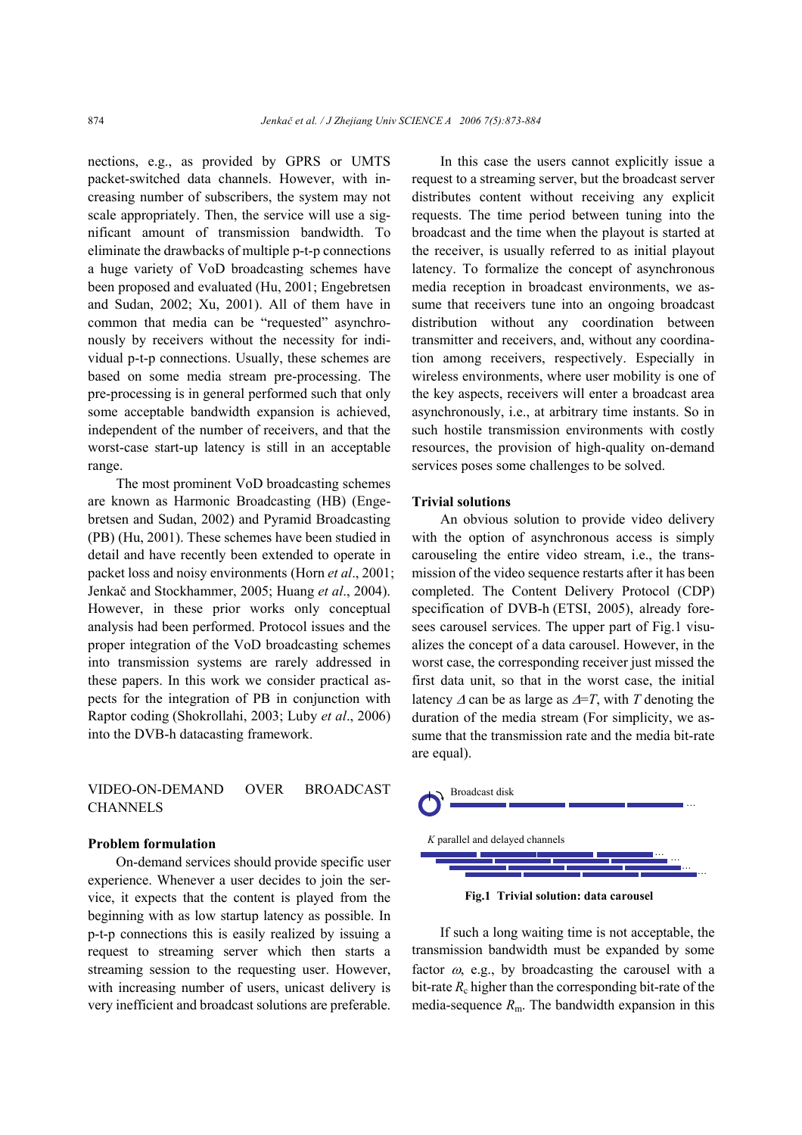nections, e.g., as provided by GPRS or UMTS packet-switched data channels. However, with increasing number of subscribers, the system may not scale appropriately. Then, the service will use a significant amount of transmission bandwidth. To eliminate the drawbacks of multiple p-t-p connections a huge variety of VoD broadcasting schemes have been proposed and evaluated (Hu, 2001; Engebretsen and Sudan, 2002; Xu, 2001). All of them have in common that media can be "requested" asynchronously by receivers without the necessity for individual p-t-p connections. Usually, these schemes are based on some media stream pre-processing. The pre-processing is in general performed such that only some acceptable bandwidth expansion is achieved, independent of the number of receivers, and that the worst-case start-up latency is still in an acceptable range.

The most prominent VoD broadcasting schemes are known as Harmonic Broadcasting (HB) (Engebretsen and Sudan, 2002) and Pyramid Broadcasting (PB) (Hu, 2001). These schemes have been studied in detail and have recently been extended to operate in packet loss and noisy environments (Horn *et al*., 2001; Jenkač and Stockhammer, 2005; Huang *et al*., 2004). However, in these prior works only conceptual analysis had been performed. Protocol issues and the proper integration of the VoD broadcasting schemes into transmission systems are rarely addressed in these papers. In this work we consider practical aspects for the integration of PB in conjunction with Raptor coding (Shokrollahi, 2003; Luby *et al*., 2006) into the DVB-h datacasting framework.

# VIDEO-ON-DEMAND OVER BROADCAST **CHANNELS**

### **Problem formulation**

On-demand services should provide specific user experience. Whenever a user decides to join the service, it expects that the content is played from the beginning with as low startup latency as possible. In p-t-p connections this is easily realized by issuing a request to streaming server which then starts a streaming session to the requesting user. However, with increasing number of users, unicast delivery is very inefficient and broadcast solutions are preferable.

In this case the users cannot explicitly issue a request to a streaming server, but the broadcast server distributes content without receiving any explicit requests. The time period between tuning into the broadcast and the time when the playout is started at the receiver, is usually referred to as initial playout latency. To formalize the concept of asynchronous media reception in broadcast environments, we assume that receivers tune into an ongoing broadcast distribution without any coordination between transmitter and receivers, and, without any coordination among receivers, respectively. Especially in wireless environments, where user mobility is one of the key aspects, receivers will enter a broadcast area asynchronously, i.e., at arbitrary time instants. So in such hostile transmission environments with costly resources, the provision of high-quality on-demand services poses some challenges to be solved.

### **Trivial solutions**

An obvious solution to provide video delivery with the option of asynchronous access is simply carouseling the entire video stream, i.e., the transmission of the video sequence restarts after it has been completed. The Content Delivery Protocol (CDP) specification of DVB-h (ETSI, 2005), already foresees carousel services. The upper part of Fig.1 visualizes the concept of a data carousel. However, in the worst case, the corresponding receiver just missed the first data unit, so that in the worst case, the initial latency ∆ can be as large as ∆=*T*, with *T* denoting the duration of the media stream (For simplicity, we assume that the transmission rate and the media bit-rate are equal).



**Fig.1 Trivial solution: data carousel** 

If such a long waiting time is not acceptable, the transmission bandwidth must be expanded by some factor  $\omega$ , e.g., by broadcasting the carousel with a bit-rate  $R_c$  higher than the corresponding bit-rate of the media-sequence  $R<sub>m</sub>$ . The bandwidth expansion in this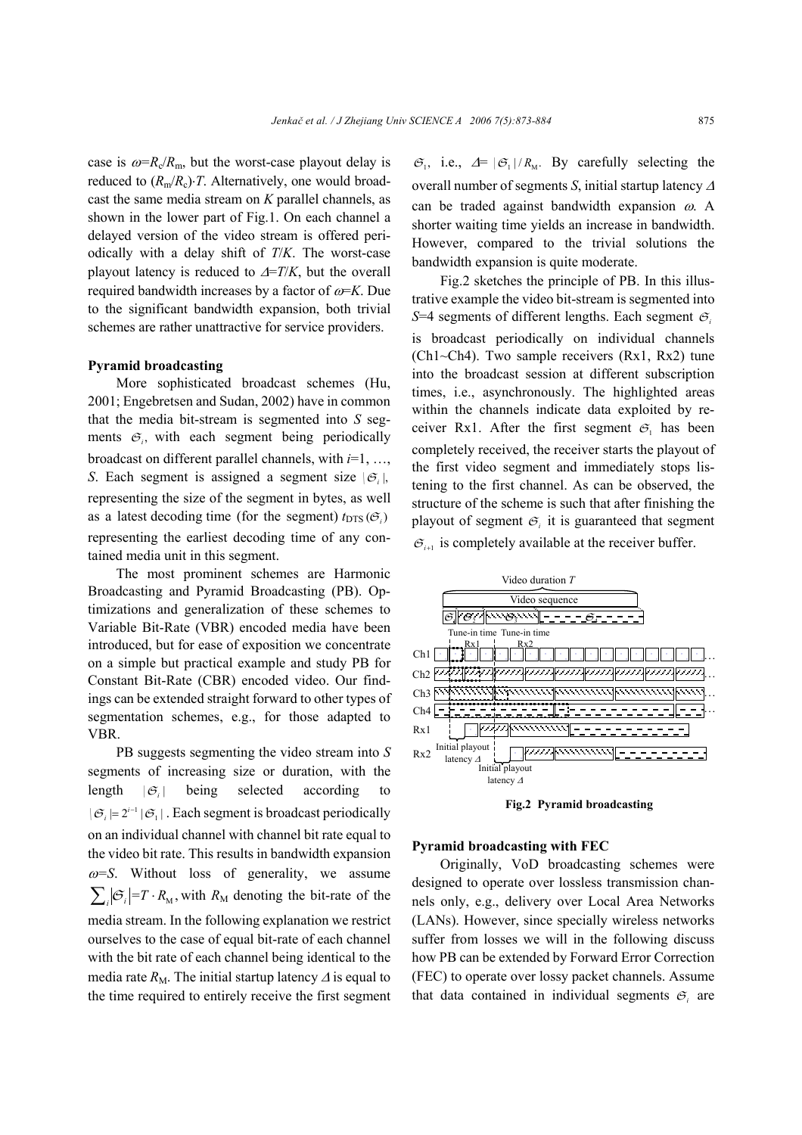case is  $\omega = R_c/R_m$ , but the worst-case playout delay is reduced to  $(R_m/R_c)$ ⋅*T*. Alternatively, one would broadcast the same media stream on *K* parallel channels, as shown in the lower part of Fig.1. On each channel a delayed version of the video stream is offered periodically with a delay shift of *T*/*K*. The worst-case playout latency is reduced to ∆=*T*/*K*, but the overall required bandwidth increases by a factor of ω=*K*. Due to the significant bandwidth expansion, both trivial schemes are rather unattractive for service providers.

#### **Pyramid broadcasting**

More sophisticated broadcast schemes (Hu, 2001; Engebretsen and Sudan, 2002) have in common that the media bit-stream is segmented into *S* segments  $\mathcal{C}_i$ , with each segment being periodically broadcast on different parallel channels, with *i*=1, …, *S*. Each segment is assigned a segment size  $|\mathcal{G}_i|$ , representing the size of the segment in bytes, as well as a latest decoding time (for the segment)  $t_{\text{DTS}}(\mathcal{G})$ representing the earliest decoding time of any contained media unit in this segment.

The most prominent schemes are Harmonic Broadcasting and Pyramid Broadcasting (PB). Optimizations and generalization of these schemes to Variable Bit-Rate (VBR) encoded media have been introduced, but for ease of exposition we concentrate on a simple but practical example and study PB for Constant Bit-Rate (CBR) encoded video. Our findings can be extended straight forward to other types of segmentation schemes, e.g., for those adapted to VBR.

PB suggests segmenting the video stream into *S* segments of increasing size or duration, with the length  $|\mathcal{G}|$  being selected according to  $|\mathcal{G}_i| = 2^{i-1} |\mathcal{G}_1|$ . Each segment is broadcast periodically on an individual channel with channel bit rate equal to the video bit rate. This results in bandwidth expansion <sup>ω</sup>*=S*. Without loss of generality, we assume  $\sum_i |\mathcal{G}_i| = T \cdot R_M$ , with  $R_M$  denoting the bit-rate of the media stream. In the following explanation we restrict ourselves to the case of equal bit-rate of each channel with the bit rate of each channel being identical to the media rate  $R_M$ . The initial startup latency  $\Delta$  is equal to the time required to entirely receive the first segment

 $\mathfrak{S}_1$ , i.e.,  $\Delta = |\mathfrak{S}_1|/R_M$ . By carefully selecting the overall number of segments *S*, initial startup latency <sup>∆</sup> can be traded against bandwidth expansion ω. A shorter waiting time yields an increase in bandwidth. However, compared to the trivial solutions the bandwidth expansion is quite moderate.

Fig.2 sketches the principle of PB. In this illustrative example the video bit-stream is segmented into *S*=4 segments of different lengths. Each segment  $\mathcal{G}_i$ is broadcast periodically on individual channels (Ch1~Ch4). Two sample receivers (Rx1, Rx2) tune into the broadcast session at different subscription times, i.e., asynchronously. The highlighted areas within the channels indicate data exploited by receiver Rx1. After the first segment  $G_1$  has been completely received, the receiver starts the playout of the first video segment and immediately stops listening to the first channel. As can be observed, the structure of the scheme is such that after finishing the playout of segment  $\mathcal{G}_i$  it is guaranteed that segment  $\mathfrak{S}_{i+1}$  is completely available at the receiver buffer.



**Fig.2 Pyramid broadcasting** 

### **Pyramid broadcasting with FEC**

Originally, VoD broadcasting schemes were designed to operate over lossless transmission channels only, e.g., delivery over Local Area Networks (LANs). However, since specially wireless networks suffer from losses we will in the following discuss how PB can be extended by Forward Error Correction (FEC) to operate over lossy packet channels. Assume that data contained in individual segments  $\mathfrak{S}_i$  are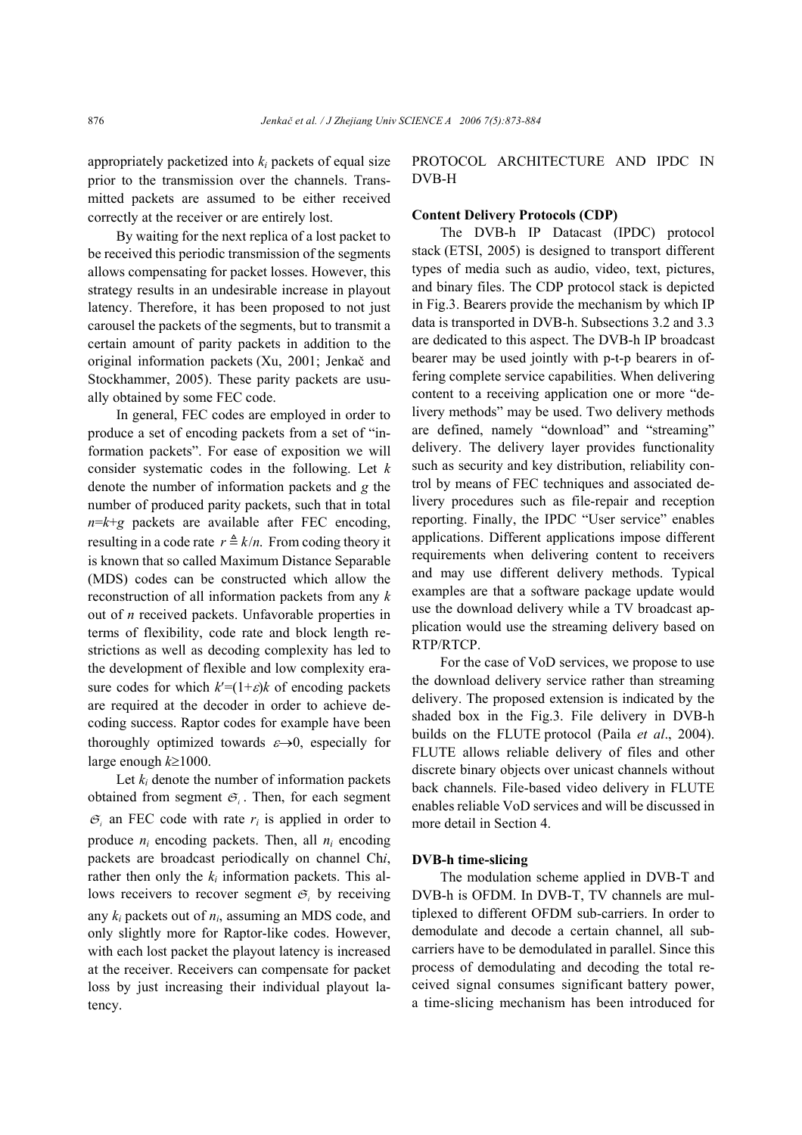appropriately packetized into  $k_i$  packets of equal size prior to the transmission over the channels. Transmitted packets are assumed to be either received correctly at the receiver or are entirely lost.

By waiting for the next replica of a lost packet to be received this periodic transmission of the segments allows compensating for packet losses. However, this strategy results in an undesirable increase in playout latency. Therefore, it has been proposed to not just carousel the packets of the segments, but to transmit a certain amount of parity packets in addition to the original information packets (Xu, 2001; Jenkač and Stockhammer, 2005). These parity packets are usually obtained by some FEC code.

In general, FEC codes are employed in order to produce a set of encoding packets from a set of "information packets". For ease of exposition we will consider systematic codes in the following. Let *k* denote the number of information packets and *g* the number of produced parity packets, such that in total *n*=*k*+*g* packets are available after FEC encoding, resulting in a code rate  $r \triangleq k/n$ . From coding theory it is known that so called Maximum Distance Separable (MDS) codes can be constructed which allow the reconstruction of all information packets from any *k* out of *n* received packets. Unfavorable properties in terms of flexibility, code rate and block length restrictions as well as decoding complexity has led to the development of flexible and low complexity erasure codes for which  $k'=(1+\varepsilon)k$  of encoding packets are required at the decoder in order to achieve decoding success. Raptor codes for example have been thoroughly optimized towards  $\varepsilon \rightarrow 0$ , especially for large enough *k*≥1000.

Let  $k_i$  denote the number of information packets obtained from segment  $G_i$ . Then, for each segment  $\mathfrak{S}_i$  an FEC code with rate  $r_i$  is applied in order to produce  $n_i$  encoding packets. Then, all  $n_i$  encoding packets are broadcast periodically on channel Ch*i*, rather then only the  $k_i$  information packets. This allows receivers to recover segment  $\mathfrak{S}$  by receiving any *ki* packets out of *ni*, assuming an MDS code, and only slightly more for Raptor-like codes. However, with each lost packet the playout latency is increased at the receiver. Receivers can compensate for packet loss by just increasing their individual playout latency.

PROTOCOL ARCHITECTURE AND IPDC IN DVB-H

### **Content Delivery Protocols (CDP)**

The DVB-h IP Datacast (IPDC) protocol stack (ETSI, 2005) is designed to transport different types of media such as audio, video, text, pictures, and binary files. The CDP protocol stack is depicted in Fig.3. Bearers provide the mechanism by which IP data is transported in DVB-h. Subsections 3.2 and 3.3 are dedicated to this aspect. The DVB-h IP broadcast bearer may be used jointly with p-t-p bearers in offering complete service capabilities. When delivering content to a receiving application one or more "delivery methods" may be used. Two delivery methods are defined, namely "download" and "streaming" delivery. The delivery layer provides functionality such as security and key distribution, reliability control by means of FEC techniques and associated delivery procedures such as file-repair and reception reporting. Finally, the IPDC "User service" enables applications. Different applications impose different requirements when delivering content to receivers and may use different delivery methods. Typical examples are that a software package update would use the download delivery while a TV broadcast application would use the streaming delivery based on RTP/RTCP.

For the case of VoD services, we propose to use the download delivery service rather than streaming delivery. The proposed extension is indicated by the shaded box in the Fig.3. File delivery in DVB-h builds on the FLUTE protocol (Paila *et al*., 2004). FLUTE allows reliable delivery of files and other discrete binary objects over unicast channels without back channels. File-based video delivery in FLUTE enables reliable VoD services and will be discussed in more detail in Section 4.

### **DVB-h time-slicing**

The modulation scheme applied in DVB-T and DVB-h is OFDM. In DVB-T, TV channels are multiplexed to different OFDM sub-carriers. In order to demodulate and decode a certain channel, all subcarriers have to be demodulated in parallel. Since this process of demodulating and decoding the total received signal consumes significant battery power, a time-slicing mechanism has been introduced for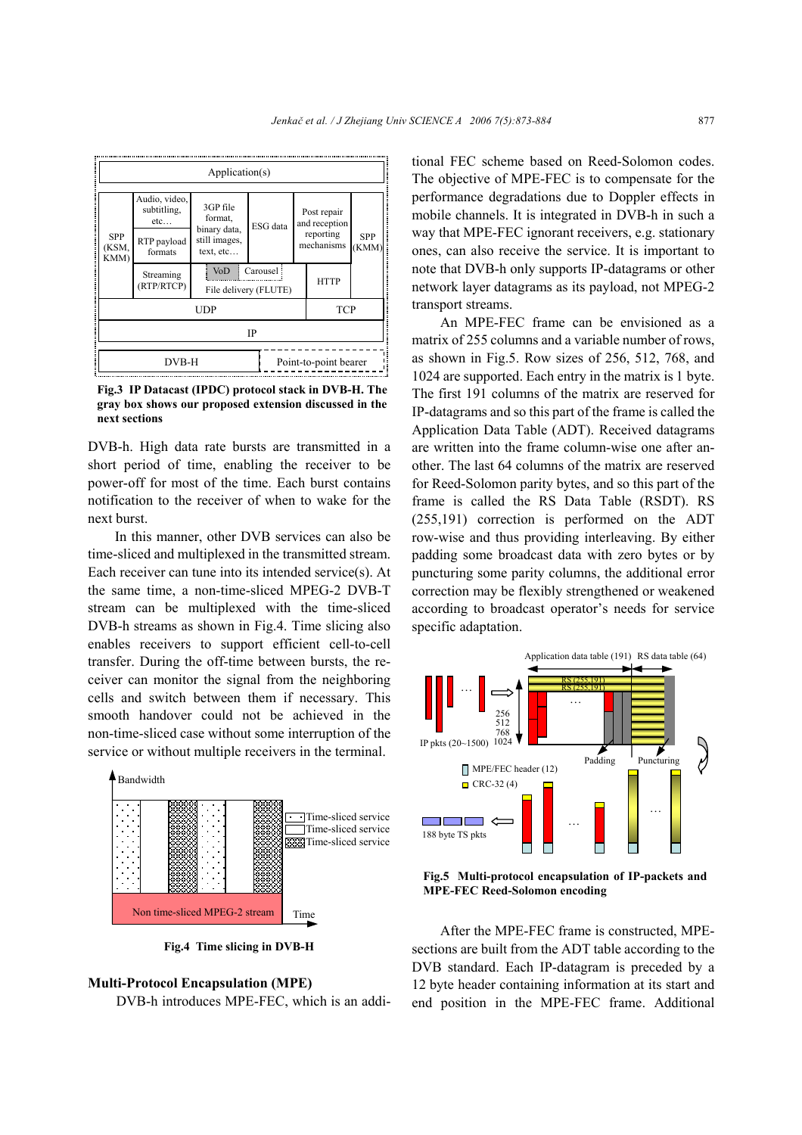

**Fig.3 IP Datacast (IPDC) protocol stack in DVB-H. The gray box shows our proposed extension discussed in the next sections** 

DVB-h. High data rate bursts are transmitted in a short period of time, enabling the receiver to be power-off for most of the time. Each burst contains notification to the receiver of when to wake for the next burst.

In this manner, other DVB services can also be time-sliced and multiplexed in the transmitted stream. Each receiver can tune into its intended service(s). At the same time, a non-time-sliced MPEG-2 DVB-T stream can be multiplexed with the time-sliced DVB-h streams as shown in Fig.4. Time slicing also enables receivers to support efficient cell-to-cell transfer. During the off-time between bursts, the receiver can monitor the signal from the neighboring cells and switch between them if necessary. This smooth handover could not be achieved in the non-time-sliced case without some interruption of the service or without multiple receivers in the terminal.



**Fig.4 Time slicing in DVB-H** 

#### **Multi-Protocol Encapsulation (MPE)**

DVB-h introduces MPE-FEC, which is an addi-

tional FEC scheme based on Reed-Solomon codes. The objective of MPE-FEC is to compensate for the performance degradations due to Doppler effects in mobile channels. It is integrated in DVB-h in such a way that MPE-FEC ignorant receivers, e.g. stationary ones, can also receive the service. It is important to note that DVB-h only supports IP-datagrams or other network layer datagrams as its payload, not MPEG-2 transport streams.

An MPE-FEC frame can be envisioned as a matrix of 255 columns and a variable number of rows, as shown in Fig.5. Row sizes of 256, 512, 768, and 1024 are supported. Each entry in the matrix is 1 byte. The first 191 columns of the matrix are reserved for IP-datagrams and so this part of the frame is called the Application Data Table (ADT). Received datagrams are written into the frame column-wise one after another. The last 64 columns of the matrix are reserved for Reed-Solomon parity bytes, and so this part of the frame is called the RS Data Table (RSDT). RS (255,191) correction is performed on the ADT row-wise and thus providing interleaving. By either padding some broadcast data with zero bytes or by puncturing some parity columns, the additional error correction may be flexibly strengthened or weakened according to broadcast operator's needs for service specific adaptation.



**Fig.5 Multi-protocol encapsulation of IP-packets and MPE-FEC Reed-Solomon encoding** 

After the MPE-FEC frame is constructed, MPEsections are built from the ADT table according to the DVB standard. Each IP-datagram is preceded by a 12 byte header containing information at its start and end position in the MPE-FEC frame. Additional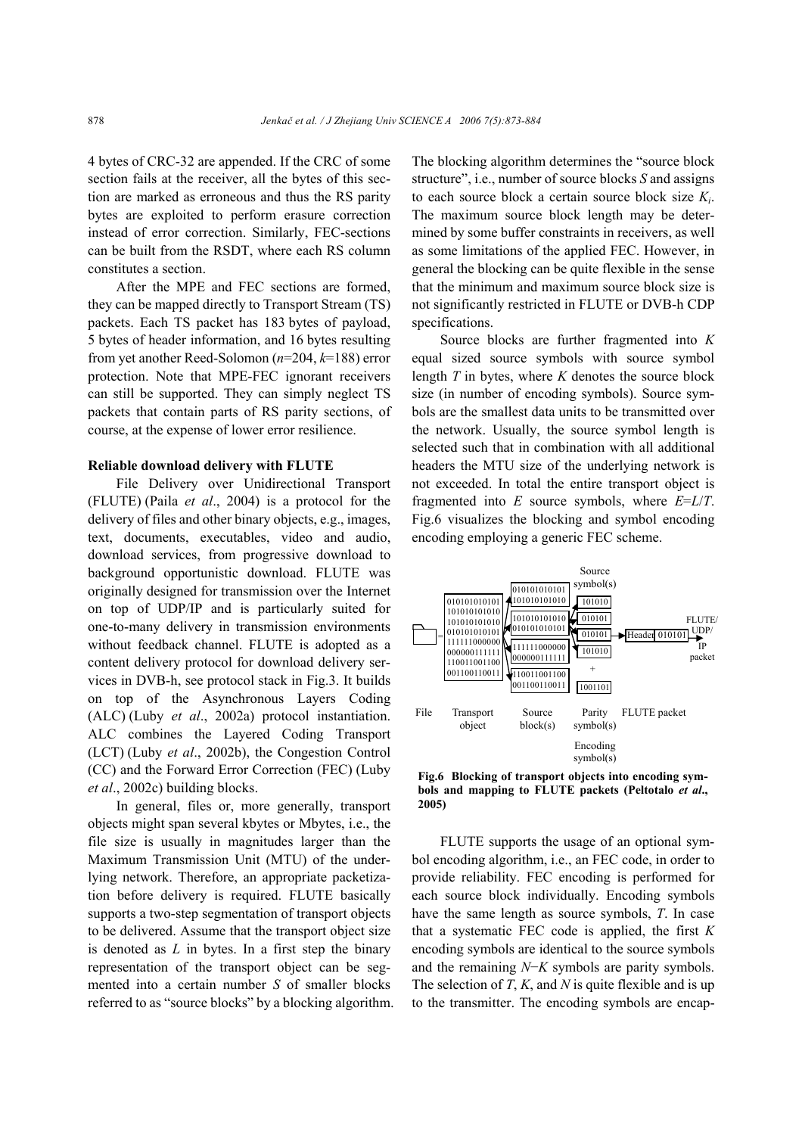4 bytes of CRC-32 are appended. If the CRC of some section fails at the receiver, all the bytes of this section are marked as erroneous and thus the RS parity bytes are exploited to perform erasure correction instead of error correction. Similarly, FEC-sections can be built from the RSDT, where each RS column constitutes a section.

After the MPE and FEC sections are formed, they can be mapped directly to Transport Stream (TS) packets. Each TS packet has 183 bytes of payload, 5 bytes of header information, and 16 bytes resulting from yet another Reed-Solomon (*n*=204, *k*=188) error protection. Note that MPE-FEC ignorant receivers can still be supported. They can simply neglect TS packets that contain parts of RS parity sections, of course, at the expense of lower error resilience.

### **Reliable download delivery with FLUTE**

File Delivery over Unidirectional Transport (FLUTE) (Paila *et al*., 2004) is a protocol for the delivery of files and other binary objects, e.g., images, text, documents, executables, video and audio, download services, from progressive download to background opportunistic download. FLUTE was originally designed for transmission over the Internet on top of UDP/IP and is particularly suited for one-to-many delivery in transmission environments without feedback channel. FLUTE is adopted as a content delivery protocol for download delivery services in DVB-h, see protocol stack in Fig.3. It builds on top of the Asynchronous Layers Coding (ALC) (Luby *et al*., 2002a) protocol instantiation. ALC combines the Layered Coding Transport (LCT) (Luby *et al*., 2002b), the Congestion Control (CC) and the Forward Error Correction (FEC) (Luby *et al*., 2002c) building blocks.

In general, files or, more generally, transport objects might span several kbytes or Mbytes, i.e., the file size is usually in magnitudes larger than the Maximum Transmission Unit (MTU) of the underlying network. Therefore, an appropriate packetization before delivery is required. FLUTE basically supports a two-step segmentation of transport objects to be delivered. Assume that the transport object size is denoted as *L* in bytes. In a first step the binary representation of the transport object can be segmented into a certain number *S* of smaller blocks referred to as "source blocks" by a blocking algorithm. The blocking algorithm determines the "source block structure", i.e., number of source blocks *S* and assigns to each source block a certain source block size *Ki*. The maximum source block length may be determined by some buffer constraints in receivers, as well as some limitations of the applied FEC. However, in general the blocking can be quite flexible in the sense that the minimum and maximum source block size is not significantly restricted in FLUTE or DVB-h CDP specifications.

Source blocks are further fragmented into *K* equal sized source symbols with source symbol length *T* in bytes, where *K* denotes the source block size (in number of encoding symbols). Source symbols are the smallest data units to be transmitted over the network. Usually, the source symbol length is selected such that in combination with all additional headers the MTU size of the underlying network is not exceeded. In total the entire transport object is fragmented into *E* source symbols, where *E*=*L*/*T*. Fig.6 visualizes the blocking and symbol encoding encoding employing a generic FEC scheme.



**Fig.6 Blocking of transport objects into encoding symbols and mapping to FLUTE packets (Peltotalo** *et al***., 2005)** 

FLUTE supports the usage of an optional symbol encoding algorithm, i.e., an FEC code, in order to provide reliability. FEC encoding is performed for each source block individually. Encoding symbols have the same length as source symbols, *T*. In case that a systematic FEC code is applied, the first *K* encoding symbols are identical to the source symbols and the remaining *N*−*K* symbols are parity symbols. The selection of *T*, *K*, and *N* is quite flexible and is up to the transmitter. The encoding symbols are encap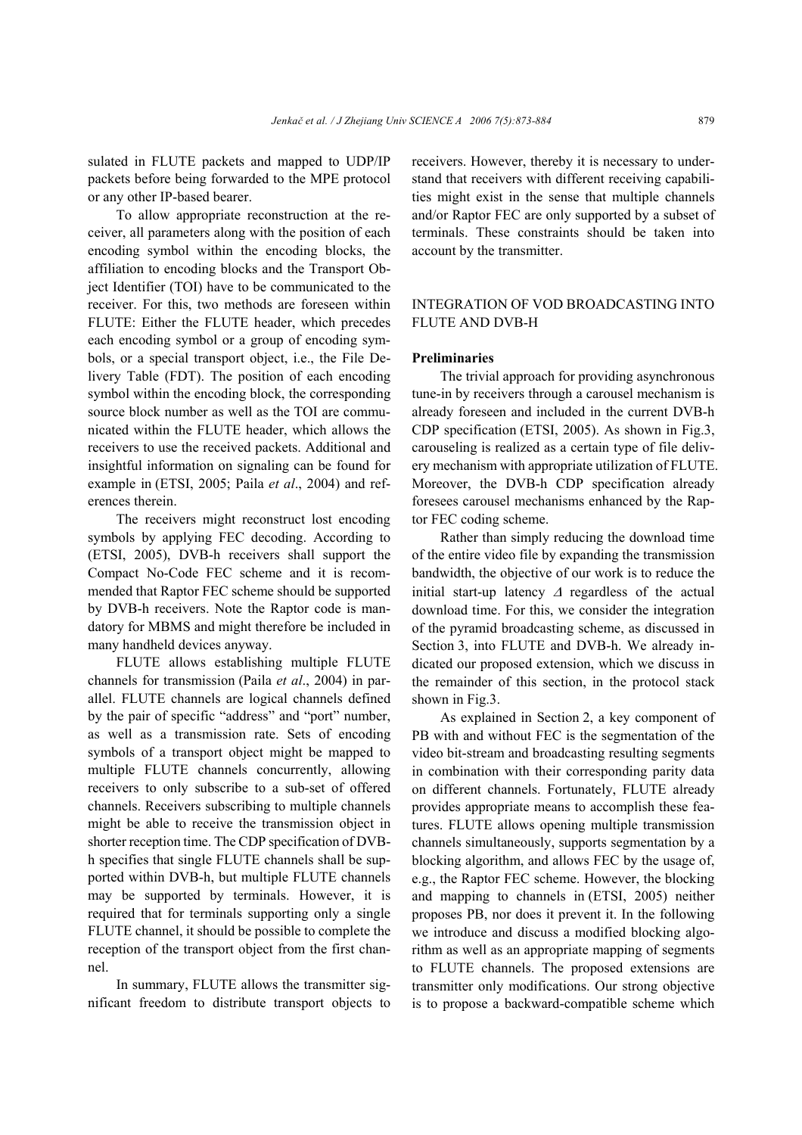sulated in FLUTE packets and mapped to UDP/IP packets before being forwarded to the MPE protocol or any other IP-based bearer.

To allow appropriate reconstruction at the receiver, all parameters along with the position of each encoding symbol within the encoding blocks, the affiliation to encoding blocks and the Transport Object Identifier (TOI) have to be communicated to the receiver. For this, two methods are foreseen within FLUTE: Either the FLUTE header, which precedes each encoding symbol or a group of encoding symbols, or a special transport object, i.e., the File Delivery Table (FDT). The position of each encoding symbol within the encoding block, the corresponding source block number as well as the TOI are communicated within the FLUTE header, which allows the receivers to use the received packets. Additional and insightful information on signaling can be found for example in (ETSI, 2005; Paila *et al*., 2004) and references therein.

The receivers might reconstruct lost encoding symbols by applying FEC decoding. According to (ETSI, 2005), DVB-h receivers shall support the Compact No-Code FEC scheme and it is recommended that Raptor FEC scheme should be supported by DVB-h receivers. Note the Raptor code is mandatory for MBMS and might therefore be included in many handheld devices anyway.

FLUTE allows establishing multiple FLUTE channels for transmission (Paila *et al*., 2004) in parallel. FLUTE channels are logical channels defined by the pair of specific "address" and "port" number, as well as a transmission rate. Sets of encoding symbols of a transport object might be mapped to multiple FLUTE channels concurrently, allowing receivers to only subscribe to a sub-set of offered channels. Receivers subscribing to multiple channels might be able to receive the transmission object in shorter reception time. The CDP specification of DVBh specifies that single FLUTE channels shall be supported within DVB-h, but multiple FLUTE channels may be supported by terminals. However, it is required that for terminals supporting only a single FLUTE channel, it should be possible to complete the reception of the transport object from the first channel.

In summary, FLUTE allows the transmitter significant freedom to distribute transport objects to receivers. However, thereby it is necessary to understand that receivers with different receiving capabilities might exist in the sense that multiple channels and/or Raptor FEC are only supported by a subset of terminals. These constraints should be taken into account by the transmitter.

# INTEGRATION OF VOD BROADCASTING INTO FLUTE AND DVB-H

#### **Preliminaries**

The trivial approach for providing asynchronous tune-in by receivers through a carousel mechanism is already foreseen and included in the current DVB-h CDP specification (ETSI, 2005). As shown in Fig.3, carouseling is realized as a certain type of file delivery mechanism with appropriate utilization of FLUTE. Moreover, the DVB-h CDP specification already foresees carousel mechanisms enhanced by the Raptor FEC coding scheme.

Rather than simply reducing the download time of the entire video file by expanding the transmission bandwidth, the objective of our work is to reduce the initial start-up latency ∆ regardless of the actual download time. For this, we consider the integration of the pyramid broadcasting scheme, as discussed in Section 3, into FLUTE and DVB-h. We already indicated our proposed extension, which we discuss in the remainder of this section, in the protocol stack shown in Fig.3.

As explained in Section 2, a key component of PB with and without FEC is the segmentation of the video bit-stream and broadcasting resulting segments in combination with their corresponding parity data on different channels. Fortunately, FLUTE already provides appropriate means to accomplish these features. FLUTE allows opening multiple transmission channels simultaneously, supports segmentation by a blocking algorithm, and allows FEC by the usage of, e.g., the Raptor FEC scheme. However, the blocking and mapping to channels in (ETSI, 2005) neither proposes PB, nor does it prevent it. In the following we introduce and discuss a modified blocking algorithm as well as an appropriate mapping of segments to FLUTE channels. The proposed extensions are transmitter only modifications. Our strong objective is to propose a backward-compatible scheme which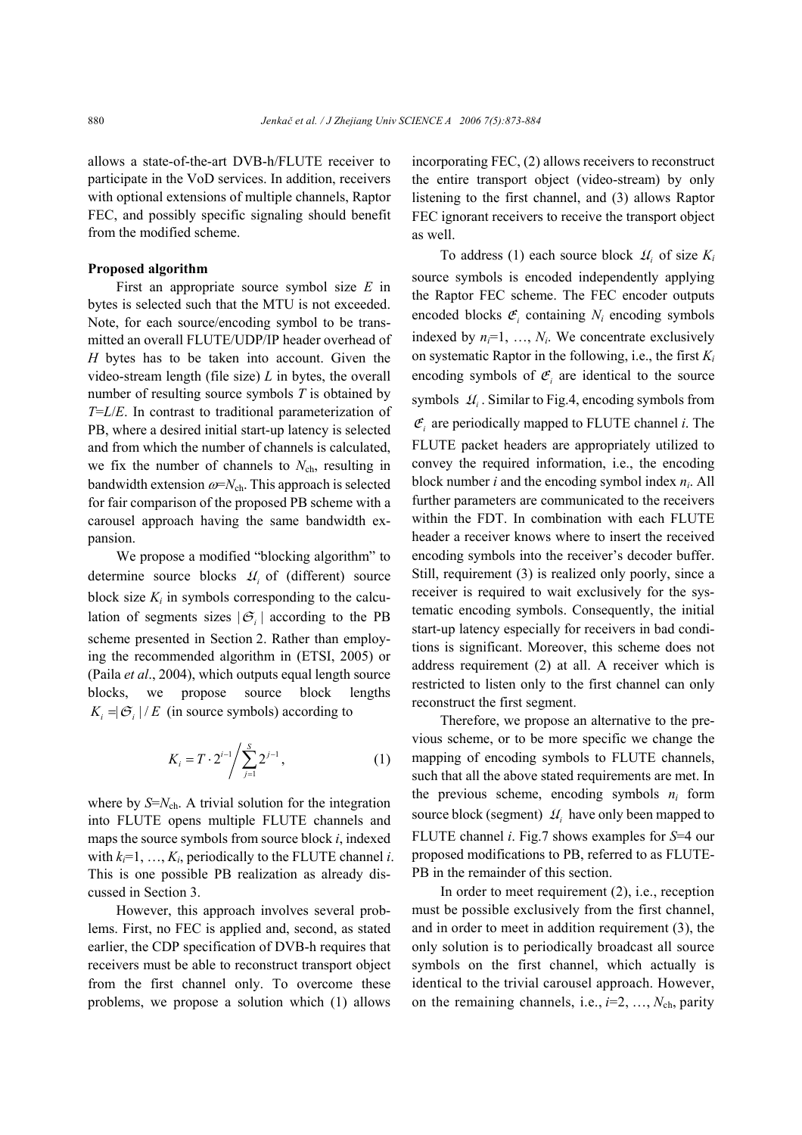allows a state-of-the-art DVB-h/FLUTE receiver to participate in the VoD services. In addition, receivers with optional extensions of multiple channels, Raptor FEC, and possibly specific signaling should benefit from the modified scheme.

### **Proposed algorithm**

First an appropriate source symbol size *E* in bytes is selected such that the MTU is not exceeded. Note, for each source/encoding symbol to be transmitted an overall FLUTE/UDP/IP header overhead of *H* bytes has to be taken into account. Given the video-stream length (file size) *L* in bytes, the overall number of resulting source symbols *T* is obtained by *T*=*L*/*E*. In contrast to traditional parameterization of PB, where a desired initial start-up latency is selected and from which the number of channels is calculated, we fix the number of channels to  $N_{ch}$ , resulting in bandwidth extension ω=*N*ch. This approach is selected for fair comparison of the proposed PB scheme with a carousel approach having the same bandwidth expansion.

We propose a modified "blocking algorithm" to determine source blocks  $\mathcal{U}_i$  of (different) source block size  $K_i$  in symbols corresponding to the calculation of segments sizes  $|S_i|$  according to the PB scheme presented in Section 2. Rather than employing the recommended algorithm in (ETSI, 2005) or (Paila *et al*., 2004), which outputs equal length source blocks, we propose source block lengths  $|K_i| = |\mathcal{S}_i| / E$  (in source symbols) according to

$$
K_i = T \cdot 2^{i-1} / \sum_{j=1}^{S} 2^{j-1}, \qquad (1)
$$

where by  $S=N_{ch}$ . A trivial solution for the integration into FLUTE opens multiple FLUTE channels and maps the source symbols from source block *i*, indexed with  $k_i=1, \ldots, K_i$ , periodically to the FLUTE channel *i*. This is one possible PB realization as already discussed in Section 3.

However, this approach involves several problems. First, no FEC is applied and, second, as stated earlier, the CDP specification of DVB-h requires that receivers must be able to reconstruct transport object from the first channel only. To overcome these problems, we propose a solution which (1) allows incorporating FEC, (2) allows receivers to reconstruct the entire transport object (video-stream) by only listening to the first channel, and (3) allows Raptor FEC ignorant receivers to receive the transport object as well.

To address (1) each source block  $\mathcal{U}_i$  of size  $K_i$ source symbols is encoded independently applying the Raptor FEC scheme. The FEC encoder outputs encoded blocks  $\mathfrak{E}_i$  containing  $N_i$  encoding symbols indexed by  $n_i=1, ..., N_i$ . We concentrate exclusively on systematic Raptor in the following, i.e., the first *Ki* encoding symbols of  $\mathcal{E}_i$  are identical to the source symbols  $\mathcal{U}_i$ . Similar to Fig.4, encoding symbols from  $\mathcal{E}_i$  are periodically mapped to FLUTE channel *i*. The FLUTE packet headers are appropriately utilized to convey the required information, i.e., the encoding block number  $i$  and the encoding symbol index  $n_i$ . All further parameters are communicated to the receivers within the FDT. In combination with each FLUTE header a receiver knows where to insert the received encoding symbols into the receiver's decoder buffer. Still, requirement (3) is realized only poorly, since a receiver is required to wait exclusively for the systematic encoding symbols. Consequently, the initial start-up latency especially for receivers in bad conditions is significant. Moreover, this scheme does not address requirement (2) at all. A receiver which is restricted to listen only to the first channel can only reconstruct the first segment.

Therefore, we propose an alternative to the previous scheme, or to be more specific we change the mapping of encoding symbols to FLUTE channels, such that all the above stated requirements are met. In the previous scheme, encoding symbols  $n_i$  form source block (segment)  $\mathcal{U}_i$  have only been mapped to FLUTE channel *i*. Fig.7 shows examples for *S*=4 our proposed modifications to PB, referred to as FLUTE-PB in the remainder of this section.

In order to meet requirement (2), i.e., reception must be possible exclusively from the first channel, and in order to meet in addition requirement (3), the only solution is to periodically broadcast all source symbols on the first channel, which actually is identical to the trivial carousel approach. However, on the remaining channels, i.e.,  $i=2, ..., N_{ch}$ , parity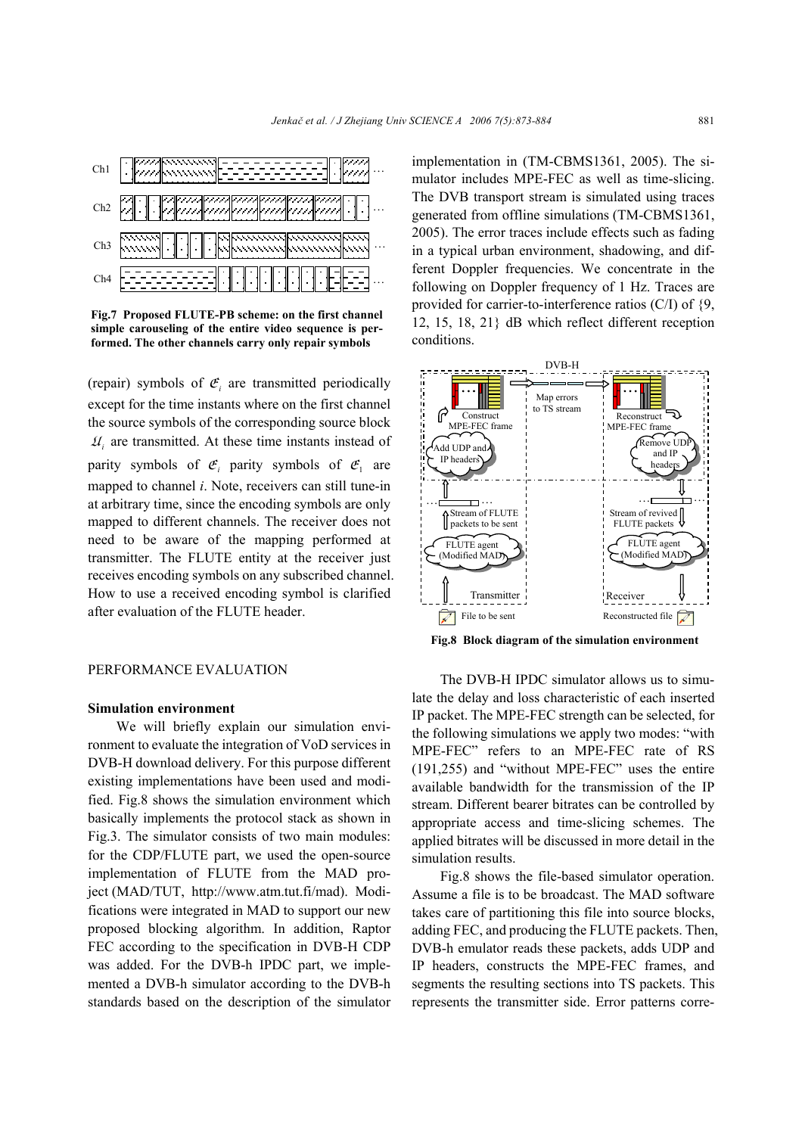

**Fig.7 Proposed FLUTE-PB scheme: on the first channel simple carouseling of the entire video sequence is performed. The other channels carry only repair symbols** 

(repair) symbols of  $\mathcal{E}_i$  are transmitted periodically except for the time instants where on the first channel the source symbols of the corresponding source block  $U_i$  are transmitted. At these time instants instead of parity symbols of  $\mathfrak{C}_i$  parity symbols of  $\mathfrak{C}_1$  are mapped to channel *i*. Note, receivers can still tune-in at arbitrary time, since the encoding symbols are only mapped to different channels. The receiver does not need to be aware of the mapping performed at transmitter. The FLUTE entity at the receiver just receives encoding symbols on any subscribed channel. How to use a received encoding symbol is clarified after evaluation of the FLUTE header.

# PERFORMANCE EVALUATION

#### **Simulation environment**

We will briefly explain our simulation environment to evaluate the integration of VoD services in DVB-H download delivery. For this purpose different existing implementations have been used and modified. Fig.8 shows the simulation environment which basically implements the protocol stack as shown in Fig.3. The simulator consists of two main modules: for the CDP/FLUTE part, we used the open-source implementation of FLUTE from the MAD project (MAD/TUT, http://www.atm.tut.fi/mad). Modifications were integrated in MAD to support our new proposed blocking algorithm. In addition, Raptor FEC according to the specification in DVB-H CDP was added. For the DVB-h IPDC part, we implemented a DVB-h simulator according to the DVB-h standards based on the description of the simulator

implementation in (TM-CBMS1361, 2005). The simulator includes MPE-FEC as well as time-slicing. The DVB transport stream is simulated using traces generated from offline simulations (TM-CBMS1361, 2005). The error traces include effects such as fading in a typical urban environment, shadowing, and different Doppler frequencies. We concentrate in the following on Doppler frequency of 1 Hz. Traces are provided for carrier-to-interference ratios (C/I) of {9, 12, 15, 18, 21} dB which reflect different reception conditions.



**Fig.8 Block diagram of the simulation environment**

The DVB-H IPDC simulator allows us to simulate the delay and loss characteristic of each inserted IP packet. The MPE-FEC strength can be selected, for the following simulations we apply two modes: "with MPE-FEC" refers to an MPE-FEC rate of RS (191,255) and "without MPE-FEC" uses the entire available bandwidth for the transmission of the IP stream. Different bearer bitrates can be controlled by appropriate access and time-slicing schemes. The applied bitrates will be discussed in more detail in the simulation results.

Fig.8 shows the file-based simulator operation. Assume a file is to be broadcast. The MAD software takes care of partitioning this file into source blocks, adding FEC, and producing the FLUTE packets. Then, DVB-h emulator reads these packets, adds UDP and IP headers, constructs the MPE-FEC frames, and segments the resulting sections into TS packets. This represents the transmitter side. Error patterns corre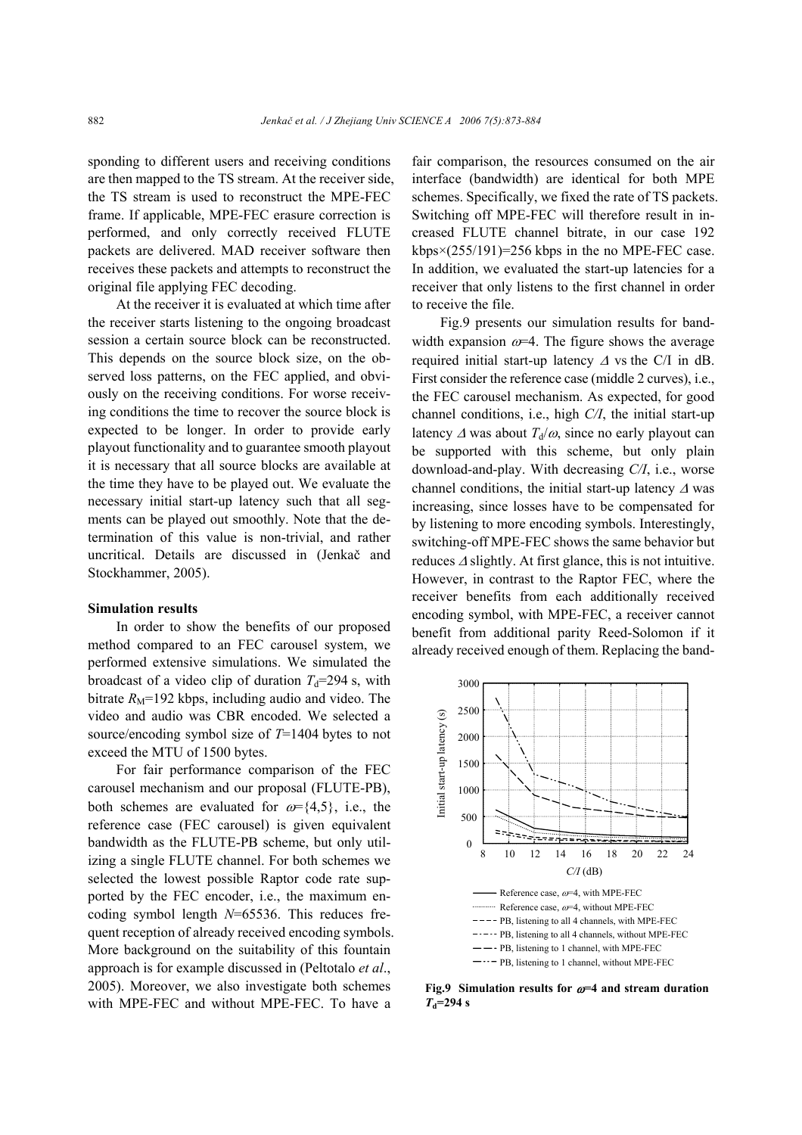sponding to different users and receiving conditions are then mapped to the TS stream. At the receiver side, the TS stream is used to reconstruct the MPE-FEC frame. If applicable, MPE-FEC erasure correction is performed, and only correctly received FLUTE packets are delivered. MAD receiver software then receives these packets and attempts to reconstruct the original file applying FEC decoding.

At the receiver it is evaluated at which time after the receiver starts listening to the ongoing broadcast session a certain source block can be reconstructed. This depends on the source block size, on the observed loss patterns, on the FEC applied, and obviously on the receiving conditions. For worse receiving conditions the time to recover the source block is expected to be longer. In order to provide early playout functionality and to guarantee smooth playout it is necessary that all source blocks are available at the time they have to be played out. We evaluate the necessary initial start-up latency such that all segments can be played out smoothly. Note that the determination of this value is non-trivial, and rather uncritical. Details are discussed in (Jenkač and Stockhammer, 2005).

#### **Simulation results**

In order to show the benefits of our proposed method compared to an FEC carousel system, we performed extensive simulations. We simulated the broadcast of a video clip of duration  $T<sub>d</sub>=294$  s, with bitrate  $R_M$ =192 kbps, including audio and video. The video and audio was CBR encoded. We selected a source/encoding symbol size of *T*=1404 bytes to not exceed the MTU of 1500 bytes.

For fair performance comparison of the FEC carousel mechanism and our proposal (FLUTE-PB), both schemes are evaluated for  $\omega = \{4, 5\}$ , i.e., the reference case (FEC carousel) is given equivalent bandwidth as the FLUTE-PB scheme, but only utilizing a single FLUTE channel. For both schemes we selected the lowest possible Raptor code rate supported by the FEC encoder, i.e., the maximum encoding symbol length *N*=65536. This reduces frequent reception of already received encoding symbols. More background on the suitability of this fountain approach is for example discussed in (Peltotalo *et al*., 2005). Moreover, we also investigate both schemes with MPE-FEC and without MPE-FEC. To have a

fair comparison, the resources consumed on the air interface (bandwidth) are identical for both MPE schemes. Specifically, we fixed the rate of TS packets. Switching off MPE-FEC will therefore result in increased FLUTE channel bitrate, in our case 192  $kbps \times (255/191)=256 kbps$  in the no MPE-FEC case. In addition, we evaluated the start-up latencies for a receiver that only listens to the first channel in order to receive the file.

Fig.9 presents our simulation results for bandwidth expansion  $\omega=4$ . The figure shows the average required initial start-up latency ∆ vs the C/I in dB. First consider the reference case (middle 2 curves), i.e., the FEC carousel mechanism. As expected, for good channel conditions, i.e., high *C/I*, the initial start-up latency  $\Delta$  was about  $T_d/\omega$ , since no early playout can be supported with this scheme, but only plain download-and-play. With decreasing *C/I*, i.e., worse channel conditions, the initial start-up latency  $\Delta$  was increasing, since losses have to be compensated for by listening to more encoding symbols. Interestingly, switching-off MPE-FEC shows the same behavior but reduces ∆ slightly. At first glance, this is not intuitive. However, in contrast to the Raptor FEC, where the receiver benefits from each additionally received encoding symbol, with MPE-FEC, a receiver cannot benefit from additional parity Reed-Solomon if it already received enough of them. Replacing the band-



**Fig.9 Simulation results for** ω**=4 and stream duration**  $T_{d}$ =294 s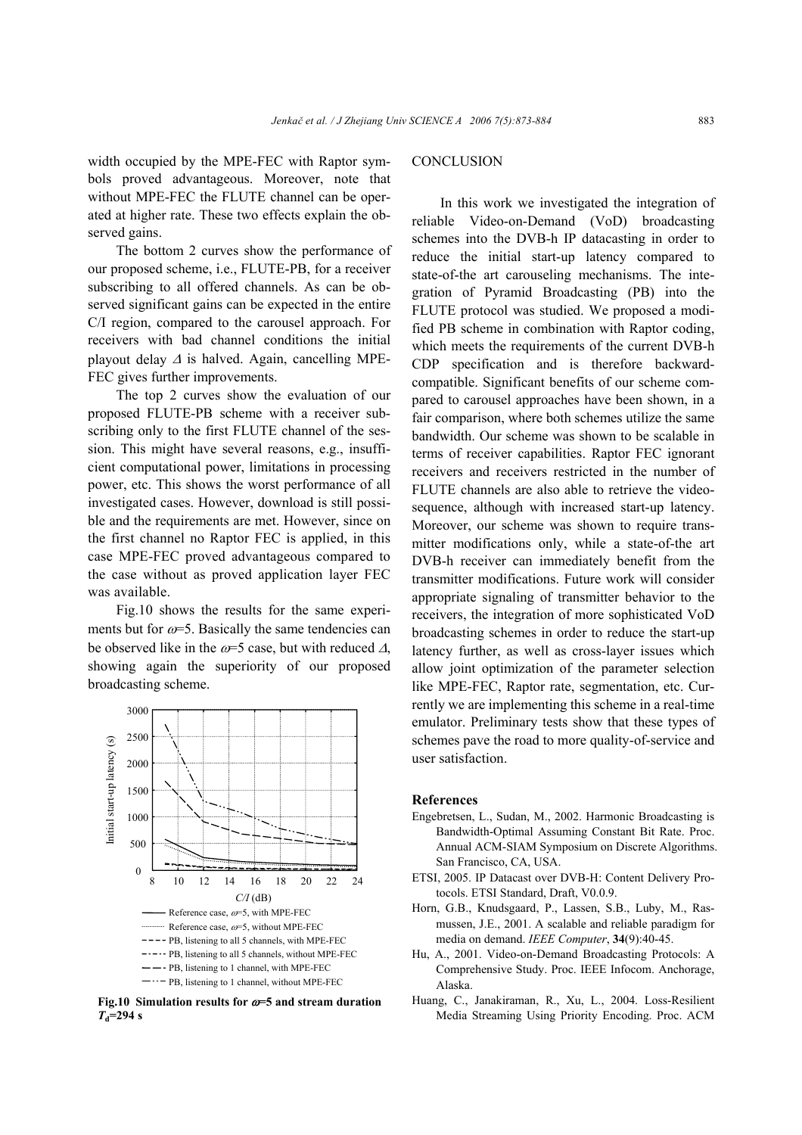width occupied by the MPE-FEC with Raptor symbols proved advantageous. Moreover, note that without MPE-FEC the FLUTE channel can be operated at higher rate. These two effects explain the observed gains.

The bottom 2 curves show the performance of our proposed scheme, i.e., FLUTE-PB, for a receiver subscribing to all offered channels. As can be observed significant gains can be expected in the entire C/I region, compared to the carousel approach. For receivers with bad channel conditions the initial playout delay ∆ is halved. Again, cancelling MPE-FEC gives further improvements.

The top 2 curves show the evaluation of our proposed FLUTE-PB scheme with a receiver subscribing only to the first FLUTE channel of the session. This might have several reasons, e.g., insufficient computational power, limitations in processing power, etc. This shows the worst performance of all investigated cases. However, download is still possible and the requirements are met. However, since on the first channel no Raptor FEC is applied, in this case MPE-FEC proved advantageous compared to the case without as proved application layer FEC was available.

Fig.10 shows the results for the same experiments but for  $\omega$ =5. Basically the same tendencies can be observed like in the  $\omega$ =5 case, but with reduced  $\Delta$ , showing again the superiority of our proposed broadcasting scheme.



**Fig.10 Simulation results for** ω**=5 and stream duration**  $T_{d}$ =294 s

# **CONCLUSION**

In this work we investigated the integration of reliable Video-on-Demand (VoD) broadcasting schemes into the DVB-h IP datacasting in order to reduce the initial start-up latency compared to state-of-the art carouseling mechanisms. The integration of Pyramid Broadcasting (PB) into the FLUTE protocol was studied. We proposed a modified PB scheme in combination with Raptor coding, which meets the requirements of the current DVB-h CDP specification and is therefore backwardcompatible. Significant benefits of our scheme compared to carousel approaches have been shown, in a fair comparison, where both schemes utilize the same bandwidth. Our scheme was shown to be scalable in terms of receiver capabilities. Raptor FEC ignorant receivers and receivers restricted in the number of FLUTE channels are also able to retrieve the videosequence, although with increased start-up latency. Moreover, our scheme was shown to require transmitter modifications only, while a state-of-the art DVB-h receiver can immediately benefit from the transmitter modifications. Future work will consider appropriate signaling of transmitter behavior to the receivers, the integration of more sophisticated VoD broadcasting schemes in order to reduce the start-up latency further, as well as cross-layer issues which allow joint optimization of the parameter selection like MPE-FEC, Raptor rate, segmentation, etc. Currently we are implementing this scheme in a real-time emulator. Preliminary tests show that these types of schemes pave the road to more quality-of-service and user satisfaction.

#### **References**

- Engebretsen, L., Sudan, M., 2002. Harmonic Broadcasting is Bandwidth-Optimal Assuming Constant Bit Rate. Proc. Annual ACM-SIAM Symposium on Discrete Algorithms. San Francisco, CA, USA.
- ETSI, 2005. IP Datacast over DVB-H: Content Delivery Protocols. ETSI Standard, Draft, V0.0.9.
- Horn, G.B., Knudsgaard, P., Lassen, S.B., Luby, M., Rasmussen, J.E., 2001. A scalable and reliable paradigm for media on demand. *IEEE Computer*, **34**(9):40-45.
- Hu, A., 2001. Video-on-Demand Broadcasting Protocols: A Comprehensive Study. Proc. IEEE Infocom. Anchorage, Alaska.
- Huang, C., Janakiraman, R., Xu, L., 2004. Loss-Resilient Media Streaming Using Priority Encoding. Proc. ACM